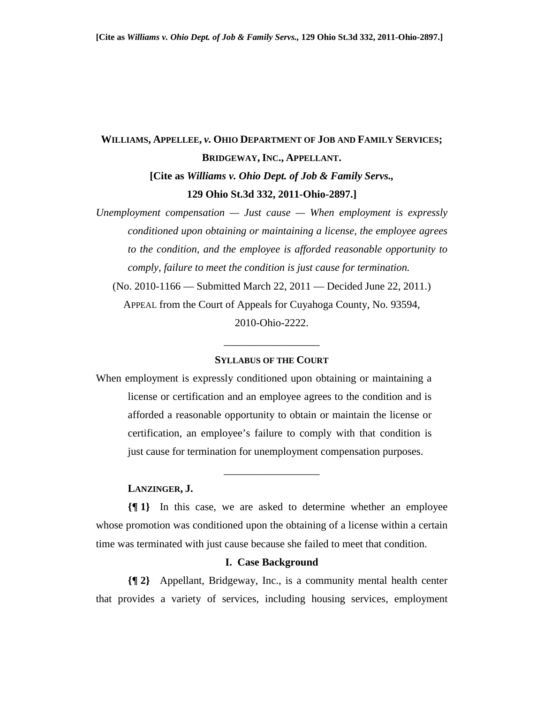# **WILLIAMS, APPELLEE,** *v.* **OHIO DEPARTMENT OF JOB AND FAMILY SERVICES; BRIDGEWAY, INC., APPELLANT. [Cite as** *Williams v. Ohio Dept. of Job & Family Servs.,* **129 Ohio St.3d 332, 2011-Ohio-2897.]**

*Unemployment compensation — Just cause — When employment is expressly conditioned upon obtaining or maintaining a license, the employee agrees to the condition, and the employee is afforded reasonable opportunity to comply, failure to meet the condition is just cause for termination.*  (No. 2010-1166 — Submitted March 22, 2011 — Decided June 22, 2011.) APPEAL from the Court of Appeals for Cuyahoga County, No. 93594, 2010-Ohio-2222.

#### **SYLLABUS OF THE COURT**

\_\_\_\_\_\_\_\_\_\_\_\_\_\_\_\_\_\_

When employment is expressly conditioned upon obtaining or maintaining a license or certification and an employee agrees to the condition and is afforded a reasonable opportunity to obtain or maintain the license or certification, an employee's failure to comply with that condition is just cause for termination for unemployment compensation purposes.

# **LANZINGER, J.**

**{¶ 1}** In this case, we are asked to determine whether an employee whose promotion was conditioned upon the obtaining of a license within a certain time was terminated with just cause because she failed to meet that condition.

\_\_\_\_\_\_\_\_\_\_\_\_\_\_\_\_\_\_

## **I. Case Background**

**{¶ 2}** Appellant, Bridgeway, Inc., is a community mental health center that provides a variety of services, including housing services, employment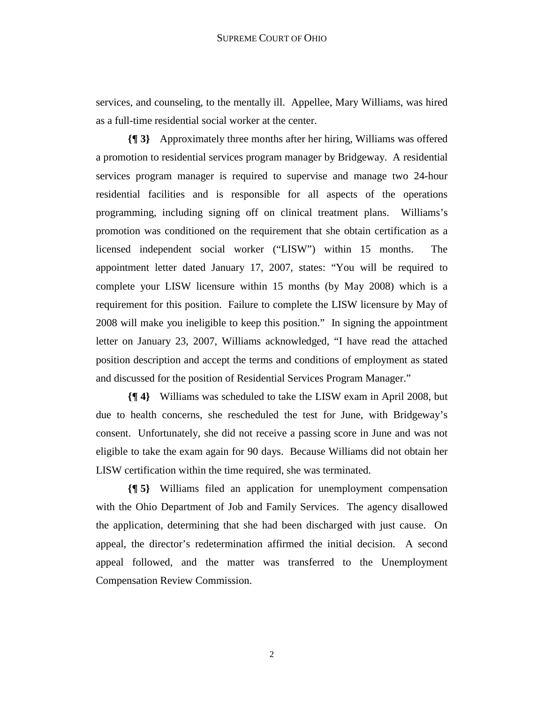services, and counseling, to the mentally ill. Appellee, Mary Williams, was hired as a full-time residential social worker at the center.

**{¶ 3}** Approximately three months after her hiring, Williams was offered a promotion to residential services program manager by Bridgeway. A residential services program manager is required to supervise and manage two 24-hour residential facilities and is responsible for all aspects of the operations programming, including signing off on clinical treatment plans. Williams's promotion was conditioned on the requirement that she obtain certification as a licensed independent social worker ("LISW") within 15 months. The appointment letter dated January 17, 2007, states: "You will be required to complete your LISW licensure within 15 months (by May 2008) which is a requirement for this position. Failure to complete the LISW licensure by May of 2008 will make you ineligible to keep this position." In signing the appointment letter on January 23, 2007, Williams acknowledged, "I have read the attached position description and accept the terms and conditions of employment as stated and discussed for the position of Residential Services Program Manager."

**{¶ 4}** Williams was scheduled to take the LISW exam in April 2008, but due to health concerns, she rescheduled the test for June, with Bridgeway's consent. Unfortunately, she did not receive a passing score in June and was not eligible to take the exam again for 90 days. Because Williams did not obtain her LISW certification within the time required, she was terminated.

**{¶ 5}** Williams filed an application for unemployment compensation with the Ohio Department of Job and Family Services. The agency disallowed the application, determining that she had been discharged with just cause. On appeal, the director's redetermination affirmed the initial decision. A second appeal followed, and the matter was transferred to the Unemployment Compensation Review Commission.

2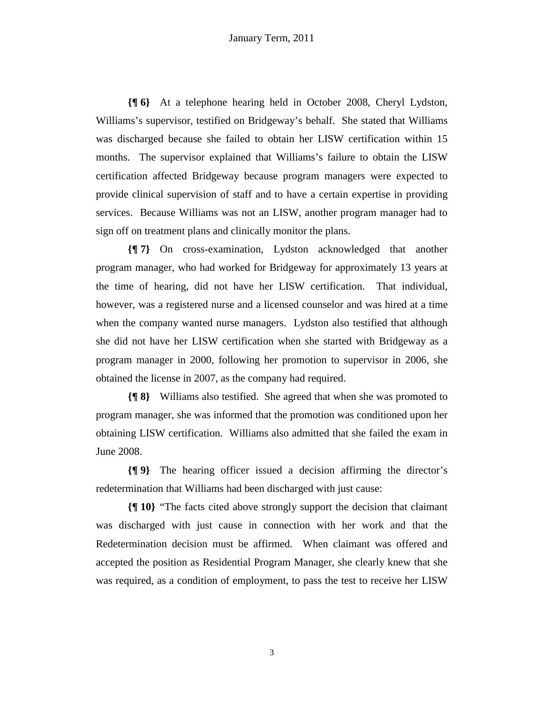**{¶ 6}** At a telephone hearing held in October 2008, Cheryl Lydston, Williams's supervisor, testified on Bridgeway's behalf. She stated that Williams was discharged because she failed to obtain her LISW certification within 15 months. The supervisor explained that Williams's failure to obtain the LISW certification affected Bridgeway because program managers were expected to provide clinical supervision of staff and to have a certain expertise in providing services. Because Williams was not an LISW, another program manager had to sign off on treatment plans and clinically monitor the plans.

**{¶ 7}** On cross-examination, Lydston acknowledged that another program manager, who had worked for Bridgeway for approximately 13 years at the time of hearing, did not have her LISW certification. That individual, however, was a registered nurse and a licensed counselor and was hired at a time when the company wanted nurse managers. Lydston also testified that although she did not have her LISW certification when she started with Bridgeway as a program manager in 2000, following her promotion to supervisor in 2006, she obtained the license in 2007, as the company had required.

**{¶ 8}** Williams also testified. She agreed that when she was promoted to program manager, she was informed that the promotion was conditioned upon her obtaining LISW certification. Williams also admitted that she failed the exam in June 2008.

**{¶ 9}** The hearing officer issued a decision affirming the director's redetermination that Williams had been discharged with just cause:

**{¶ 10}** "The facts cited above strongly support the decision that claimant was discharged with just cause in connection with her work and that the Redetermination decision must be affirmed. When claimant was offered and accepted the position as Residential Program Manager, she clearly knew that she was required, as a condition of employment, to pass the test to receive her LISW

3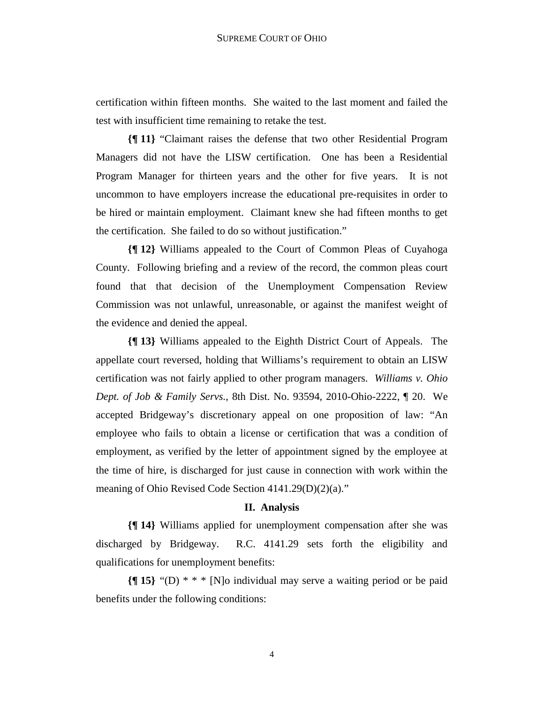certification within fifteen months. She waited to the last moment and failed the test with insufficient time remaining to retake the test.

**{¶ 11}** "Claimant raises the defense that two other Residential Program Managers did not have the LISW certification. One has been a Residential Program Manager for thirteen years and the other for five years. It is not uncommon to have employers increase the educational pre-requisites in order to be hired or maintain employment. Claimant knew she had fifteen months to get the certification. She failed to do so without justification."

**{¶ 12}** Williams appealed to the Court of Common Pleas of Cuyahoga County. Following briefing and a review of the record, the common pleas court found that that decision of the Unemployment Compensation Review Commission was not unlawful, unreasonable, or against the manifest weight of the evidence and denied the appeal.

**{¶ 13}** Williams appealed to the Eighth District Court of Appeals. The appellate court reversed, holding that Williams's requirement to obtain an LISW certification was not fairly applied to other program managers. *Williams v. Ohio Dept. of Job & Family Servs.*, 8th Dist. No. 93594, 2010-Ohio-2222, ¶ 20. We accepted Bridgeway's discretionary appeal on one proposition of law: "An employee who fails to obtain a license or certification that was a condition of employment, as verified by the letter of appointment signed by the employee at the time of hire, is discharged for just cause in connection with work within the meaning of Ohio Revised Code Section 4141.29(D)(2)(a)."

#### **II. Analysis**

**{¶ 14}** Williams applied for unemployment compensation after she was discharged by Bridgeway. R.C. 4141.29 sets forth the eligibility and qualifications for unemployment benefits:

**{¶ 15}** "(D) \* \* \* [N]o individual may serve a waiting period or be paid benefits under the following conditions: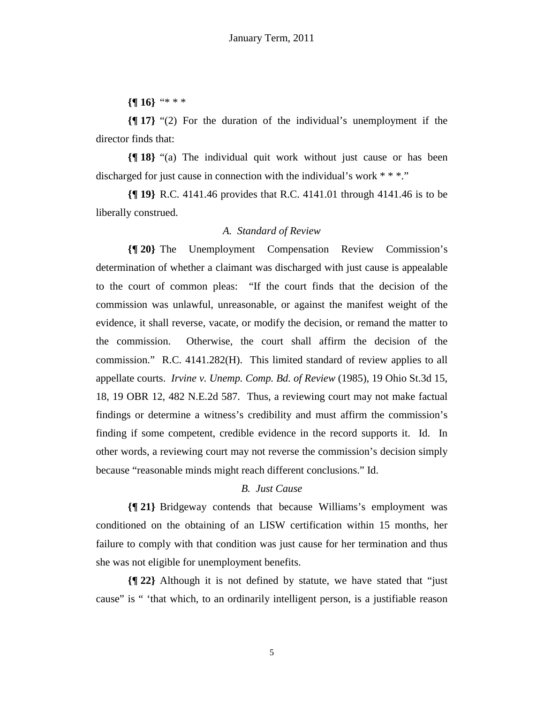**{¶ 16}** "\* \* \*

**{¶ 17}** "(2) For the duration of the individual's unemployment if the director finds that:

**{¶ 18}** "(a) The individual quit work without just cause or has been discharged for just cause in connection with the individual's work \* \* \*."

**{¶ 19}** R.C. 4141.46 provides that R.C. 4141.01 through 4141.46 is to be liberally construed.

# *A. Standard of Review*

**{¶ 20}** The Unemployment Compensation Review Commission's determination of whether a claimant was discharged with just cause is appealable to the court of common pleas: "If the court finds that the decision of the commission was unlawful, unreasonable, or against the manifest weight of the evidence, it shall reverse, vacate, or modify the decision, or remand the matter to the commission. Otherwise, the court shall affirm the decision of the commission." R.C. 4141.282(H). This limited standard of review applies to all appellate courts. *Irvine v. Unemp. Comp. Bd. of Review* (1985), 19 Ohio St.3d 15, 18, 19 OBR 12, 482 N.E.2d 587. Thus, a reviewing court may not make factual findings or determine a witness's credibility and must affirm the commission's finding if some competent, credible evidence in the record supports it. Id. In other words, a reviewing court may not reverse the commission's decision simply because "reasonable minds might reach different conclusions." Id.

# *B. Just Cause*

**{¶ 21}** Bridgeway contends that because Williams's employment was conditioned on the obtaining of an LISW certification within 15 months, her failure to comply with that condition was just cause for her termination and thus she was not eligible for unemployment benefits.

**{¶ 22}** Although it is not defined by statute, we have stated that "just cause" is " 'that which, to an ordinarily intelligent person, is a justifiable reason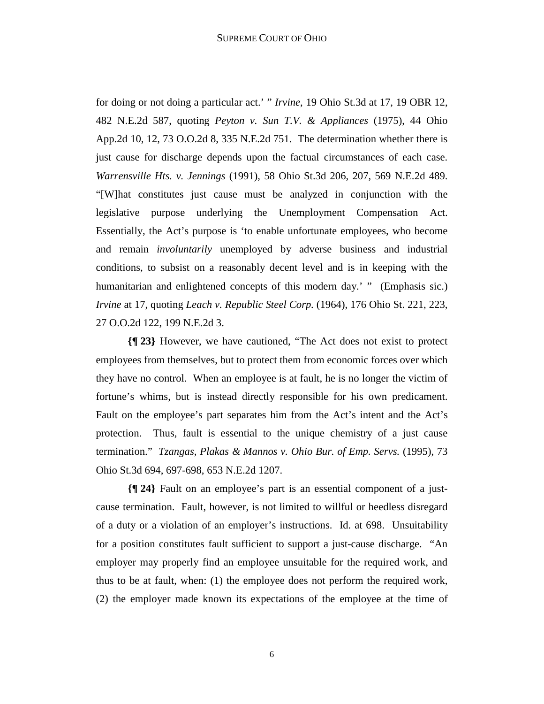for doing or not doing a particular act.' " *Irvine*, 19 Ohio St.3d at 17, 19 OBR 12, 482 N.E.2d 587, quoting *Peyton v. Sun T.V. & Appliances* (1975), 44 Ohio App.2d 10, 12, 73 O.O.2d 8, 335 N.E.2d 751. The determination whether there is just cause for discharge depends upon the factual circumstances of each case. *Warrensville Hts. v. Jennings* (1991), 58 Ohio St.3d 206, 207, 569 N.E.2d 489. "[W]hat constitutes just cause must be analyzed in conjunction with the legislative purpose underlying the Unemployment Compensation Act. Essentially, the Act's purpose is 'to enable unfortunate employees, who become and remain *involuntarily* unemployed by adverse business and industrial conditions, to subsist on a reasonably decent level and is in keeping with the humanitarian and enlightened concepts of this modern day.' " (Emphasis sic.) *Irvine* at 17, quoting *Leach v. Republic Steel Corp.* (1964), 176 Ohio St. 221, 223, 27 O.O.2d 122, 199 N.E.2d 3.

**{¶ 23}** However, we have cautioned, "The Act does not exist to protect employees from themselves, but to protect them from economic forces over which they have no control. When an employee is at fault, he is no longer the victim of fortune's whims, but is instead directly responsible for his own predicament. Fault on the employee's part separates him from the Act's intent and the Act's protection. Thus, fault is essential to the unique chemistry of a just cause termination." *Tzangas, Plakas & Mannos v. Ohio Bur. of Emp. Servs.* (1995), 73 Ohio St.3d 694, 697-698, 653 N.E.2d 1207.

**{¶ 24}** Fault on an employee's part is an essential component of a justcause termination. Fault, however, is not limited to willful or heedless disregard of a duty or a violation of an employer's instructions. Id. at 698. Unsuitability for a position constitutes fault sufficient to support a just-cause discharge. "An employer may properly find an employee unsuitable for the required work, and thus to be at fault, when: (1) the employee does not perform the required work, (2) the employer made known its expectations of the employee at the time of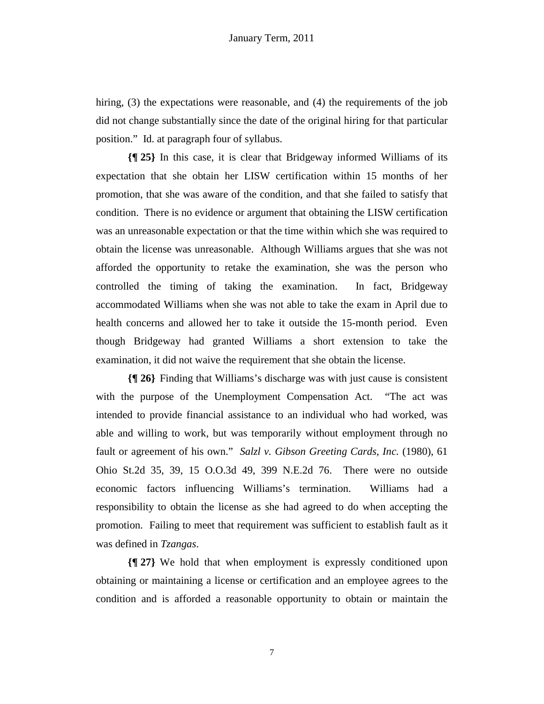hiring, (3) the expectations were reasonable, and (4) the requirements of the job did not change substantially since the date of the original hiring for that particular position." Id. at paragraph four of syllabus.

**{¶ 25}** In this case, it is clear that Bridgeway informed Williams of its expectation that she obtain her LISW certification within 15 months of her promotion, that she was aware of the condition, and that she failed to satisfy that condition. There is no evidence or argument that obtaining the LISW certification was an unreasonable expectation or that the time within which she was required to obtain the license was unreasonable. Although Williams argues that she was not afforded the opportunity to retake the examination, she was the person who controlled the timing of taking the examination. In fact, Bridgeway accommodated Williams when she was not able to take the exam in April due to health concerns and allowed her to take it outside the 15-month period. Even though Bridgeway had granted Williams a short extension to take the examination, it did not waive the requirement that she obtain the license.

**{¶ 26}** Finding that Williams's discharge was with just cause is consistent with the purpose of the Unemployment Compensation Act. "The act was intended to provide financial assistance to an individual who had worked, was able and willing to work, but was temporarily without employment through no fault or agreement of his own." *Salzl v. Gibson Greeting Cards, Inc.* (1980), 61 Ohio St.2d 35, 39, 15 O.O.3d 49, 399 N.E.2d 76. There were no outside economic factors influencing Williams's termination. Williams had a responsibility to obtain the license as she had agreed to do when accepting the promotion. Failing to meet that requirement was sufficient to establish fault as it was defined in *Tzangas*.

**{¶ 27}** We hold that when employment is expressly conditioned upon obtaining or maintaining a license or certification and an employee agrees to the condition and is afforded a reasonable opportunity to obtain or maintain the

7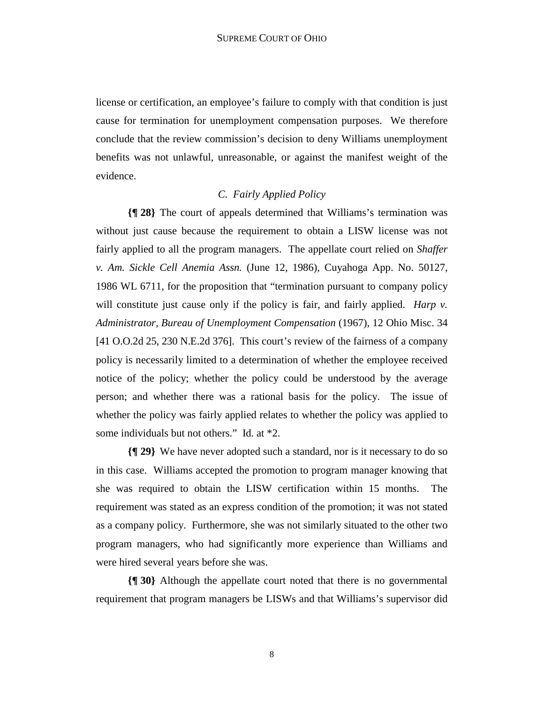license or certification, an employee's failure to comply with that condition is just cause for termination for unemployment compensation purposes. We therefore conclude that the review commission's decision to deny Williams unemployment benefits was not unlawful, unreasonable, or against the manifest weight of the evidence.

# *C. Fairly Applied Policy*

**{¶ 28}** The court of appeals determined that Williams's termination was without just cause because the requirement to obtain a LISW license was not fairly applied to all the program managers. The appellate court relied on *Shaffer v. Am. Sickle Cell Anemia Assn.* (June 12, 1986), Cuyahoga App. No. 50127, 1986 WL 6711, for the proposition that "termination pursuant to company policy will constitute just cause only if the policy is fair, and fairly applied. *Harp v. Administrator, Bureau of Unemployment Compensation* (1967), 12 Ohio Misc. 34 [41 O.O.2d 25, 230 N.E.2d 376]. This court's review of the fairness of a company policy is necessarily limited to a determination of whether the employee received notice of the policy; whether the policy could be understood by the average person; and whether there was a rational basis for the policy. The issue of whether the policy was fairly applied relates to whether the policy was applied to some individuals but not others." Id. at \*2.

**{¶ 29}** We have never adopted such a standard, nor is it necessary to do so in this case. Williams accepted the promotion to program manager knowing that she was required to obtain the LISW certification within 15 months. The requirement was stated as an express condition of the promotion; it was not stated as a company policy. Furthermore, she was not similarly situated to the other two program managers, who had significantly more experience than Williams and were hired several years before she was.

**{¶ 30}** Although the appellate court noted that there is no governmental requirement that program managers be LISWs and that Williams's supervisor did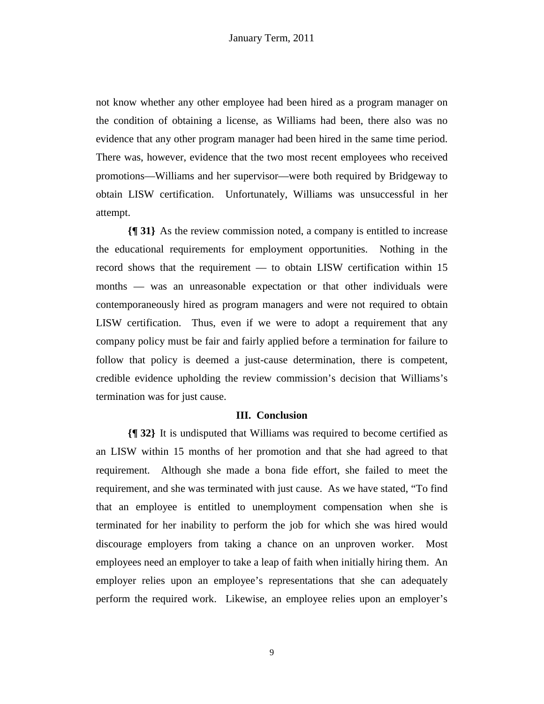not know whether any other employee had been hired as a program manager on the condition of obtaining a license, as Williams had been, there also was no evidence that any other program manager had been hired in the same time period. There was, however, evidence that the two most recent employees who received promotions—Williams and her supervisor—were both required by Bridgeway to obtain LISW certification. Unfortunately, Williams was unsuccessful in her attempt.

**{¶ 31}** As the review commission noted, a company is entitled to increase the educational requirements for employment opportunities. Nothing in the record shows that the requirement — to obtain LISW certification within 15 months — was an unreasonable expectation or that other individuals were contemporaneously hired as program managers and were not required to obtain LISW certification. Thus, even if we were to adopt a requirement that any company policy must be fair and fairly applied before a termination for failure to follow that policy is deemed a just-cause determination, there is competent, credible evidence upholding the review commission's decision that Williams's termination was for just cause.

### **III. Conclusion**

**{¶ 32}** It is undisputed that Williams was required to become certified as an LISW within 15 months of her promotion and that she had agreed to that requirement. Although she made a bona fide effort, she failed to meet the requirement, and she was terminated with just cause. As we have stated, "To find that an employee is entitled to unemployment compensation when she is terminated for her inability to perform the job for which she was hired would discourage employers from taking a chance on an unproven worker. Most employees need an employer to take a leap of faith when initially hiring them. An employer relies upon an employee's representations that she can adequately perform the required work. Likewise, an employee relies upon an employer's